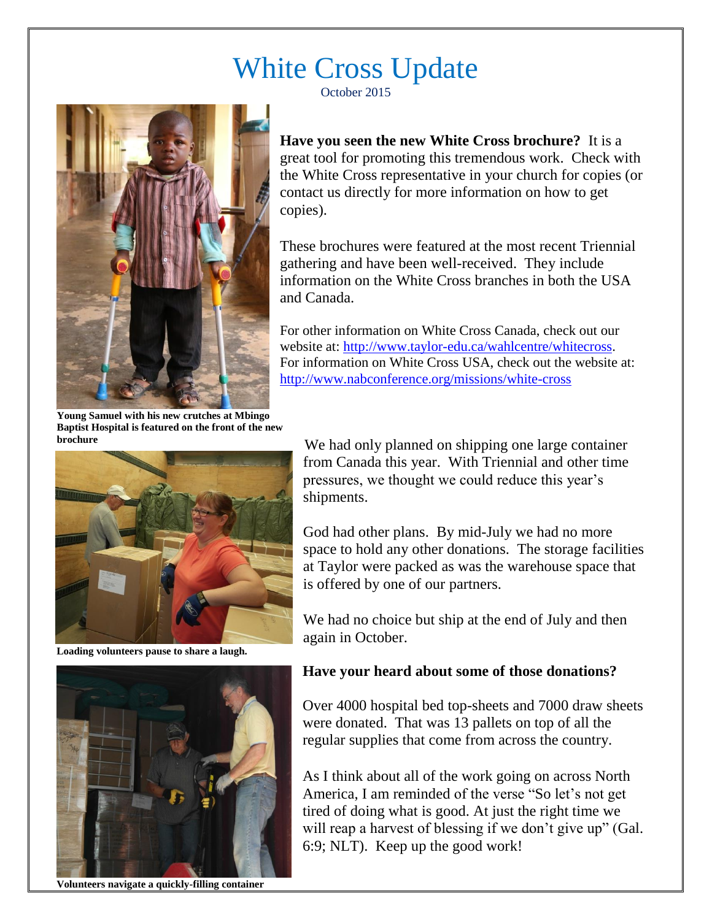## White Cross Update

October 2015



**Have you seen the new White Cross brochure?** It is a great tool for promoting this tremendous work. Check with the White Cross representative in your church for copies (or contact us directly for more information on how to get copies).

These brochures were featured at the most recent Triennial gathering and have been well-received. They include information on the White Cross branches in both the USA and Canada.

For other information on White Cross Canada, check out our website at: [http://www.taylor-edu.ca/wahlcentre/whitecross.](http://www.taylor-edu.ca/wahlcentre/whitecross) For information on White Cross USA, check out the website at: <http://www.nabconference.org/missions/white-cross>

**Young Samuel with his new crutches at Mbingo Baptist Hospital is featured on the front of the new brochure**



**Loading volunteers pause to share a laugh.**



**Volunteers navigate a quickly-filling container**

We had only planned on shipping one large container from Canada this year. With Triennial and other time pressures, we thought we could reduce this year's shipments.

God had other plans. By mid-July we had no more space to hold any other donations. The storage facilities at Taylor were packed as was the warehouse space that is offered by one of our partners.

We had no choice but ship at the end of July and then again in October.

## **Have your heard about some of those donations?**

Over 4000 hospital bed top-sheets and 7000 draw sheets were donated. That was 13 pallets on top of all the regular supplies that come from across the country.

As I think about all of the work going on across North America, I am reminded of the verse "So let's not get tired of doing what is good. At just the right time we will reap a harvest of blessing if we don't give up" (Gal. 6:9; NLT). Keep up the good work!